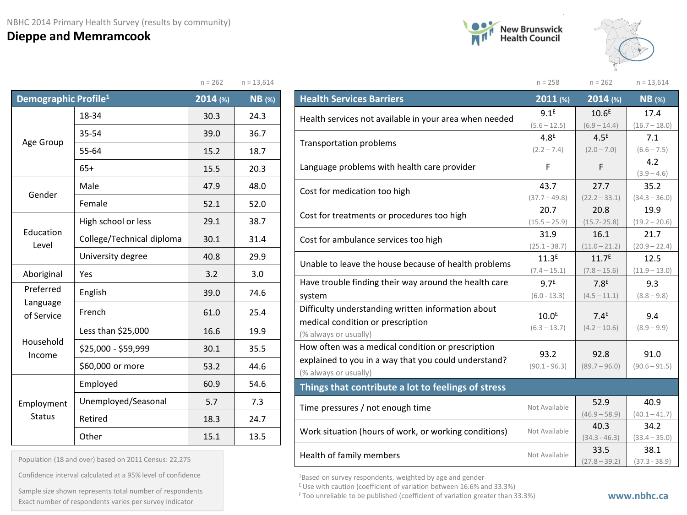## **Dieppe and Memramcook**





|                                  |                           | $n = 262$ | $n = 13,614$  |
|----------------------------------|---------------------------|-----------|---------------|
| Demographic Profile <sup>1</sup> |                           | 2014 (%)  | <b>NB</b> (%) |
|                                  | 18-34                     | 30.3      | 24.3          |
|                                  | 35-54                     | 39.0      | 36.7          |
| Age Group                        | 55-64                     | 15.2      | 18.7          |
| $65+$                            |                           | 15.5      | 20.3          |
|                                  | Male                      | 47.9      | 48.0          |
| Gender                           | Female                    |           | 52.0          |
|                                  | High school or less       | 29.1      | 38.7          |
| Education<br>Level               | College/Technical diploma | 30.1      | 31.4          |
|                                  | University degree         | 40.8      | 29.9          |
| Aboriginal                       | Yes                       | 3.2       | 3.0           |
| Preferred                        | English                   | 39.0      | 74.6          |
| Language<br>of Service           | French                    | 61.0      | 25.4          |
|                                  | Less than \$25,000        | 16.6      | 19.9          |
| Household<br>Income              | \$25,000 - \$59,999       | 30.1      | 35.5          |
|                                  | \$60,000 or more          | 53.2      | 44.6          |
|                                  | Employed                  | 60.9      | 54.6          |
| Employment                       | Unemployed/Seasonal       | 5.7       | 7.3           |
| <b>Status</b>                    | Retired                   | 18.3      | 24.7          |
|                                  | Other                     | 15.1      | 13.5          |

| Population (18 and over) based on 2011 Census: 22,275 |  |  |  |  |
|-------------------------------------------------------|--|--|--|--|
|                                                       |  |  |  |  |

Confidence interval calculated at a 95% level of confidence

F Too unreliable to be published (coefficient of variation greater than 33.3%) Exact number of respondents varies per survey indicator **www.nbhc.ca**Sample size shown represents total number of respondents

|                                                        | $n = 258$         | $n = 262$         | $n = 13,614$         |
|--------------------------------------------------------|-------------------|-------------------|----------------------|
| <b>Health Services Barriers</b>                        | 2011 (%)          | $2014$ (%)        | <b>NB</b> (%)        |
| Health services not available in your area when needed | 9.1 <sup>E</sup>  | 10.6 <sup>E</sup> | 17.4                 |
|                                                        | $(5.6 - 12.5)$    | $(6.9 - 14.4)$    | $(16.7 - 18.0)$      |
| <b>Transportation problems</b>                         | 4.8 <sup>E</sup>  | 4.5 <sup>E</sup>  | 7.1                  |
|                                                        | $(2.2 - 7.4)$     | $(2.0 - 7.0)$     | $(6.6 - 7.5)$        |
| Language problems with health care provider            | F                 | F                 | 4.2<br>$(3.9 - 4.6)$ |
| Cost for medication too high                           | 43.7              | 27.7              | 35.2                 |
|                                                        | $(37.7 - 49.8)$   | $(22.2 - 33.1)$   | $(34.3 - 36.0)$      |
| Cost for treatments or procedures too high             | 20.7              | 20.8              | 19.9                 |
|                                                        | $(15.5 - 25.9)$   | $(15.7 - 25.8)$   | $(19.2 - 20.6)$      |
| Cost for ambulance services too high                   | 31.9              | 16.1              | 21.7                 |
|                                                        | $(25.1 - 38.7)$   | $(11.0 - 21.2)$   | $(20.9 - 22.4)$      |
| Unable to leave the house because of health problems   | 11.3 <sup>E</sup> | 11.7 <sup>E</sup> | 12.5                 |
|                                                        | $(7.4 - 15.1)$    | $(7.8 - 15.6)$    | $(11.9 - 13.0)$      |
| Have trouble finding their way around the health care  | 9.7 <sup>E</sup>  | 7.8 <sup>E</sup>  | 9.3                  |
| system                                                 | $(6.0 - 13.3)$    | $(4.5 - 11.1)$    | $(8.8 - 9.8)$        |
| Difficulty understanding written information about     | 10.0 <sup>E</sup> | 7.4 <sup>E</sup>  | 9.4                  |
| medical condition or prescription                      | $(6.3 - 13.7)$    | $(4.2 - 10.6)$    | $(8.9 - 9.9)$        |
| (% always or usually)                                  |                   |                   |                      |
| How often was a medical condition or prescription      | 93.2              | 92.8              | 91.0                 |
| explained to you in a way that you could understand?   | $(90.1 - 96.3)$   | $(89.7 - 96.0)$   | $(90.6 - 91.5)$      |
| (% always or usually)                                  |                   |                   |                      |
| Things that contribute a lot to feelings of stress     |                   |                   |                      |
| Time pressures / not enough time                       | Not Available     | 52.9              | 40.9                 |
|                                                        |                   | $(46.9 - 58.9)$   | $(40.1 - 41.7)$      |
| Work situation (hours of work, or working conditions)  | Not Available     | 40.3              | 34.2                 |
|                                                        |                   | $(34.3 - 46.3)$   | $(33.4 - 35.0)$      |
| Health of family members                               | Not Available     | 33.5              | 38.1                 |
|                                                        |                   | $(27.8 - 39.2)$   | $(37.3 - 38.9)$      |

1Based on survey respondents, weighted by age and gender

 $E$  Use with caution (coefficient of variation between 16.6% and 33.3%)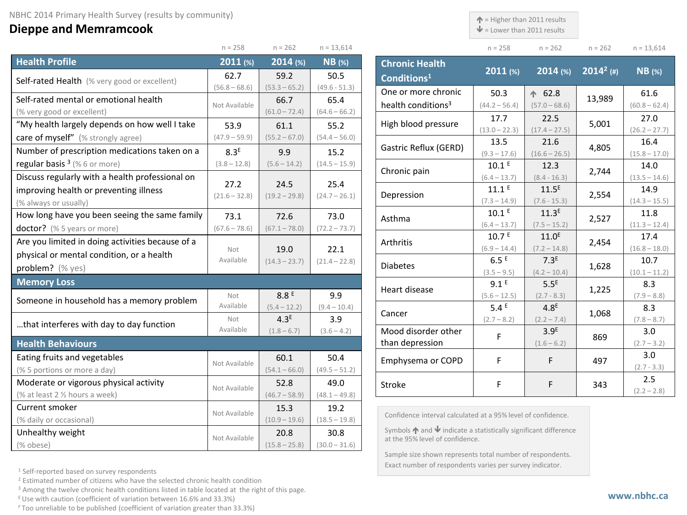## **Dieppe and Memramcook**

 $\uparrow$  = Higher than 2011 results

 $\mathbf{\Psi}$  = Lower than 2011 results

| $n = 258$ | $n = 262$ | $n = 262$ | $n = 13,614$ |
|-----------|-----------|-----------|--------------|

|                                                     | $n = 258$               | $n = 262$               | $n = 13,614$            |
|-----------------------------------------------------|-------------------------|-------------------------|-------------------------|
| <b>Health Profile</b>                               | 2011 (%)                | $2014$ (%)              | $NB$ (%)                |
| <b>Self-rated Health</b> (% very good or excellent) | 62.7                    | 59.2                    | 50.5                    |
|                                                     | $(56.8 - 68.6)$         | $(53.3 - 65.2)$         | $(49.6 - 51.3)$         |
| Self-rated mental or emotional health               | Not Available           | 66.7                    | 65.4                    |
| (% very good or excellent)                          |                         | $(61.0 - 72.4)$         | $(64.6 - 66.2)$         |
| "My health largely depends on how well I take       | 53.9                    | 61.1                    | 55.2                    |
| care of myself" (% strongly agree)                  | $(47.9 - 59.9)$         | $(55.2 - 67.0)$         | $(54.4 - 56.0)$         |
| Number of prescription medications taken on a       | 8.3 <sup>E</sup>        | 9.9                     | 15.2                    |
| regular basis $3$ (% 6 or more)                     | $(3.8 - 12.8)$          | $(5.6 - 14.2)$          | $(14.5 - 15.9)$         |
| Discuss regularly with a health professional on     |                         |                         |                         |
| improving health or preventing illness              | 27.2<br>$(21.6 - 32.8)$ | 24.5<br>$(19.2 - 29.8)$ | 25.4<br>$(24.7 - 26.1)$ |
| (% always or usually)                               |                         |                         |                         |
| How long have you been seeing the same family       | 73.1                    | 72.6                    | 73.0                    |
| doctor? (% 5 years or more)                         | $(67.6 - 78.6)$         | $(67.1 - 78.0)$         | $(72.2 - 73.7)$         |
| Are you limited in doing activities because of a    |                         |                         |                         |
| physical or mental condition, or a health           | Not                     | 19.0                    | 22.1                    |
| problem? (% yes)                                    | Available               | $(14.3 - 23.7)$         | $(21.4 - 22.8)$         |
| <b>Memory Loss</b>                                  |                         |                         |                         |
| Someone in household has a memory problem           | Not                     | 8.8 <sup>E</sup>        | 9.9                     |
|                                                     | Available               | $(5.4 - 12.2)$          | $(9.4 - 10.4)$          |
| that interferes with day to day function            | Not                     | 4.3 <sup>E</sup>        | 3.9                     |
|                                                     | Available               | $(1.8 - 6.7)$           | $(3.6 - 4.2)$           |
| <b>Health Behaviours</b>                            |                         |                         |                         |
| Eating fruits and vegetables                        | Not Available           | 60.1                    | 50.4                    |
| (% 5 portions or more a day)                        |                         | $(54.1 - 66.0)$         | $(49.5 - 51.2)$         |
| Moderate or vigorous physical activity              | Not Available           | 52.8                    | 49.0                    |
| (% at least 2 % hours a week)                       |                         | $(46.7 - 58.9)$         | $(48.1 - 49.8)$         |
| Current smoker                                      | Not Available           | 15.3                    | 19.2                    |
| (% daily or occasional)                             |                         | $(10.9 - 19.6)$         | $(18.5 - 19.8)$         |
| Unhealthy weight                                    | Not Available           | 20.8                    | 30.8                    |
| (% obese)                                           |                         | $(15.8 - 25.8)$         | $(30.0 - 31.6)$         |

| <b>Chronic Health</b><br>Conditions <sup>1</sup> | 2011 (%)          | $2014$ (%)        | $2014^2$ (#) | $NB$ (%)        |
|--------------------------------------------------|-------------------|-------------------|--------------|-----------------|
| One or more chronic                              | 50.3              | $\spadesuit$ 62.8 | 13,989       | 61.6            |
| health conditions <sup>3</sup>                   | $(44.2 - 56.4)$   | $(57.0 - 68.6)$   |              | $(60.8 - 62.4)$ |
| High blood pressure                              | 17.7              | 22.5              | 5,001        | 27.0            |
|                                                  | $(13.0 - 22.3)$   | $(17.4 - 27.5)$   |              | $(26.2 - 27.7)$ |
| Gastric Reflux (GERD)                            | 13.5              | 21.6              | 4,805        | 16.4            |
|                                                  | $(9.3 - 17.6)$    | $(16.6 - 26.5)$   |              | $(15.8 - 17.0)$ |
| Chronic pain                                     | 10.1 <sup>E</sup> | 12.3              | 2,744        | 14.0            |
|                                                  | $(6.4 - 13.7)$    | $(8.4 - 16.3)$    |              | $(13.5 - 14.6)$ |
| Depression                                       | 11.1E             | 11.5 <sup>E</sup> | 2,554        | 14.9            |
|                                                  | $(7.3 - 14.9)$    | $(7.6 - 15.3)$    |              | $(14.3 - 15.5)$ |
| Asthma                                           | 10.1 <sup>E</sup> | 11.3 <sup>E</sup> | 2,527        | 11.8            |
|                                                  | $(6.4 - 13.7)$    | $(7.5 - 15.2)$    |              | $(11.3 - 12.4)$ |
| Arthritis                                        | 10.7 <sup>E</sup> | 11.0 <sup>E</sup> | 2,454        | 17.4            |
|                                                  | $(6.9 - 14.4)$    | $(7.2 - 14.8)$    |              | $(16.8 - 18.0)$ |
| <b>Diabetes</b>                                  | 6.5E              | 7.3 <sup>E</sup>  | 1,628        | 10.7            |
|                                                  | $(3.5 - 9.5)$     | $(4.2 - 10.4)$    |              | $(10.1 - 11.2)$ |
| Heart disease                                    | 9.1 <sup>E</sup>  | 5.5 <sup>E</sup>  | 1,225        | 8.3             |
|                                                  | $(5.6 - 12.5)$    | $(2.7 - 8.3)$     |              | $(7.9 - 8.8)$   |
| Cancer                                           | 5.4E              | 4.8 <sup>E</sup>  | 1,068        | 8.3             |
|                                                  | $(2.7 - 8.2)$     | $(2.2 - 7.4)$     |              | $(7.8 - 8.7)$   |
| Mood disorder other                              | F                 | 3.9 <sup>E</sup>  | 869          | 3.0             |
| than depression                                  |                   | $(1.6 - 6.2)$     |              | $(2.7 - 3.2)$   |
| Emphysema or COPD                                | F                 | F                 | 497          | 3.0             |
|                                                  |                   |                   |              | $(2.7 - 3.3)$   |
| Stroke                                           | F                 | F                 | 343          | 2.5             |
|                                                  |                   |                   |              | $(2.2 - 2.8)$   |

Confidence interval calculated at a 95% level of confidence.

Symbols  $\bigwedge$  and  $\bigvee$  indicate a statistically significant difference at the 95% level of confidence.

Sample size shown represents total number of respondents. Exact number of respondents varies per survey indicator.

<sup>1</sup> Self-reported based on survey respondents

<sup>2</sup> Estimated number of citizens who have the selected chronic health condition

<sup>3</sup> Among the twelve chronic health conditions listed in table located at the right of this page.

 $E$  Use with caution (coefficient of variation between 16.6% and 33.3%)

F Too unreliable to be published (coefficient of variation greater than 33.3%)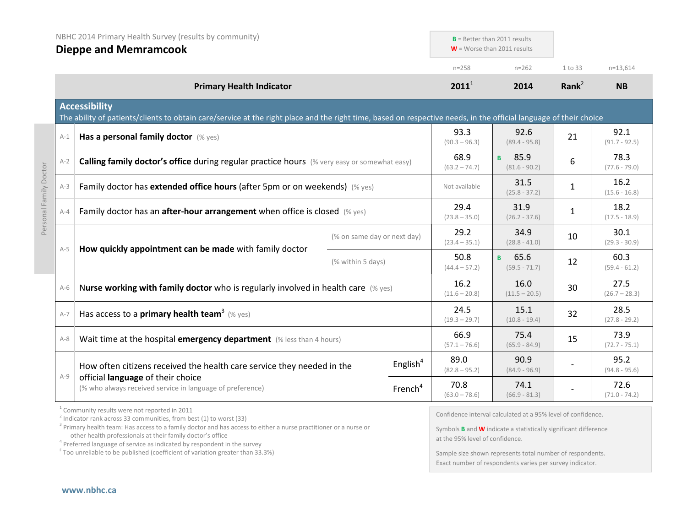|                        | NBHC 2014 Primary Health Survey (results by community)<br><b>Dieppe and Memramcook</b> |                                                                                                                                                                                                                                                 |                             | $B =$ Better than 2011 results<br>$W =$ Worse than 2011 results |                                                                                                                 |                                                                                                                                                                                 |           |                         |
|------------------------|----------------------------------------------------------------------------------------|-------------------------------------------------------------------------------------------------------------------------------------------------------------------------------------------------------------------------------------------------|-----------------------------|-----------------------------------------------------------------|-----------------------------------------------------------------------------------------------------------------|---------------------------------------------------------------------------------------------------------------------------------------------------------------------------------|-----------|-------------------------|
|                        |                                                                                        |                                                                                                                                                                                                                                                 |                             |                                                                 | $n = 258$                                                                                                       | $n = 262$                                                                                                                                                                       | 1 to 33   | $n=13,614$              |
|                        |                                                                                        | <b>Primary Health Indicator</b>                                                                                                                                                                                                                 |                             |                                                                 | $2011^1$                                                                                                        | 2014                                                                                                                                                                            | Rank $^2$ | <b>NB</b>               |
|                        |                                                                                        | <b>Accessibility</b><br>The ability of patients/clients to obtain care/service at the right place and the right time, based on respective needs, in the official language of their choice                                                       |                             |                                                                 |                                                                                                                 |                                                                                                                                                                                 |           |                         |
|                        | $A-1$                                                                                  | Has a personal family doctor (% yes)                                                                                                                                                                                                            |                             |                                                                 | 93.3<br>$(90.3 - 96.3)$                                                                                         | 92.6<br>$(89.4 - 95.8)$                                                                                                                                                         | 21        | 92.1<br>$(91.7 - 92.5)$ |
|                        | $A-2$                                                                                  | <b>Calling family doctor's office during regular practice hours</b> (% very easy or somewhat easy)                                                                                                                                              |                             |                                                                 | 68.9<br>$(63.2 - 74.7)$                                                                                         | 85.9<br>B.<br>$(81.6 - 90.2)$                                                                                                                                                   | 6         | 78.3<br>$(77.6 - 79.0)$ |
| Personal Family Doctor | $A-3$                                                                                  | Family doctor has extended office hours (after 5pm or on weekends) (% yes)                                                                                                                                                                      |                             |                                                                 | Not available                                                                                                   | 31.5<br>$(25.8 - 37.2)$                                                                                                                                                         | 1         | 16.2<br>$(15.6 - 16.8)$ |
|                        | $A - 4$                                                                                | Family doctor has an after-hour arrangement when office is closed (% yes)                                                                                                                                                                       |                             |                                                                 | 29.4<br>$(23.8 - 35.0)$                                                                                         | 31.9<br>$(26.2 - 37.6)$                                                                                                                                                         | 1         | 18.2<br>$(17.5 - 18.9)$ |
|                        |                                                                                        |                                                                                                                                                                                                                                                 | (% on same day or next day) |                                                                 | 29.2<br>$(23.4 - 35.1)$                                                                                         | 34.9<br>$(28.8 - 41.0)$                                                                                                                                                         | 10        | 30.1<br>$(29.3 - 30.9)$ |
|                        | $A-5$                                                                                  | How quickly appointment can be made with family doctor                                                                                                                                                                                          | (% within 5 days)           |                                                                 | 50.8<br>$(44.4 - 57.2)$                                                                                         | 65.6<br>B.<br>$(59.5 - 71.7)$                                                                                                                                                   | 12        | 60.3<br>$(59.4 - 61.2)$ |
|                        | $A-6$                                                                                  | Nurse working with family doctor who is regularly involved in health care (% yes)                                                                                                                                                               |                             |                                                                 | 16.2<br>$(11.6 - 20.8)$                                                                                         | 16.0<br>$(11.5 - 20.5)$                                                                                                                                                         | 30        | 27.5<br>$(26.7 - 28.3)$ |
|                        | $A-7$                                                                                  | Has access to a <b>primary health team<sup>3</sup></b> (% yes)                                                                                                                                                                                  |                             |                                                                 | 24.5<br>$(19.3 - 29.7)$                                                                                         | 15.1<br>$(10.8 - 19.4)$                                                                                                                                                         | 32        | 28.5<br>$(27.8 - 29.2)$ |
|                        | $A-8$                                                                                  | Wait time at the hospital emergency department (% less than 4 hours)                                                                                                                                                                            |                             |                                                                 | 66.9<br>$(57.1 - 76.6)$                                                                                         | 75.4<br>$(65.9 - 84.9)$                                                                                                                                                         | 15        | 73.9<br>$(72.7 - 75.1)$ |
|                        | $A-9$                                                                                  | How often citizens received the health care service they needed in the                                                                                                                                                                          |                             | English $4$                                                     | 89.0<br>$(82.8 - 95.2)$                                                                                         | 90.9<br>$(84.9 - 96.9)$                                                                                                                                                         |           | 95.2<br>$(94.8 - 95.6)$ |
|                        |                                                                                        | official language of their choice<br>(% who always received service in language of preference)                                                                                                                                                  |                             | French <sup>4</sup>                                             | 70.8<br>$(63.0 - 78.6)$                                                                                         | 74.1<br>$(66.9 - 81.3)$                                                                                                                                                         |           | 72.6<br>$(71.0 - 74.2)$ |
|                        |                                                                                        | $1$ Community results were not reported in 2011<br>$2$ Indicator rank across 33 communities, from best (1) to worst (33)<br>$3$ Drimary boalth toger. Has access to a family dester and bas access to either a nurse practitioner or a nurse or |                             |                                                                 | the contract of the contract of the contract of the contract of the contract of the contract of the contract of | Confidence interval calculated at a 95% level of confidence.<br>the contract of the contract of the contract of the contract of the contract of the contract of the contract of |           |                         |

<sup>3</sup> Primary health team: Has access to a family doctor and has access to either a nurse practitioner or a nurse or other health professionals at their family doctor's office <sup>4</sup> Preferred language of service as indicated by respondent in the survey

<sup>F</sup> Too unreliable to be published (coefficient of variation greater than 33.3%)

Symbols **B** and **W** indicate a statistically significant difference at the 95% level of confidence.

Sample size shown represents total number of respondents. Exact number of respondents varies per survey indicator.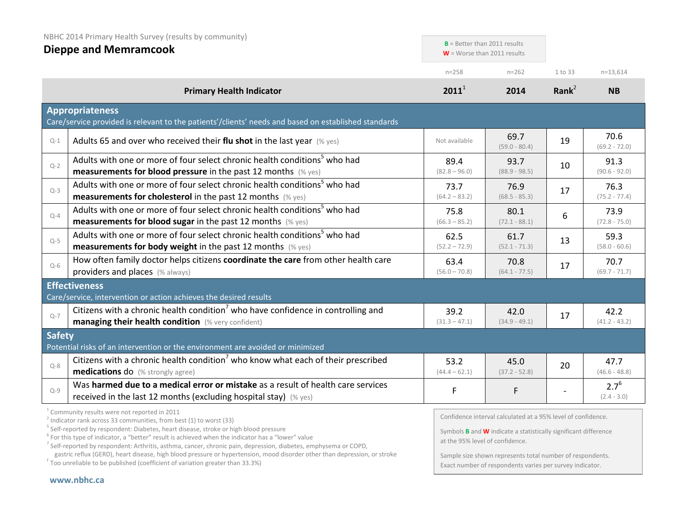|               | NBHC 2014 Primary Health Survey (results by community)<br><b>Dieppe and Memramcook</b>                                                                                                                                                                                                                                           | $B =$ Better than 2011 results<br>$W =$ Worse than 2011 results |                                                                                                                                                                                 |                   |                            |
|---------------|----------------------------------------------------------------------------------------------------------------------------------------------------------------------------------------------------------------------------------------------------------------------------------------------------------------------------------|-----------------------------------------------------------------|---------------------------------------------------------------------------------------------------------------------------------------------------------------------------------|-------------------|----------------------------|
|               |                                                                                                                                                                                                                                                                                                                                  | $n = 258$                                                       | $n = 262$                                                                                                                                                                       | 1 to 33           | $n=13,614$                 |
|               | <b>Primary Health Indicator</b>                                                                                                                                                                                                                                                                                                  | $2011^1$                                                        | 2014                                                                                                                                                                            | Rank <sup>2</sup> | <b>NB</b>                  |
|               | <b>Appropriateness</b><br>Care/service provided is relevant to the patients'/clients' needs and based on established standards                                                                                                                                                                                                   |                                                                 |                                                                                                                                                                                 |                   |                            |
| $Q-1$         | Adults 65 and over who received their flu shot in the last year $(\%$ yes)                                                                                                                                                                                                                                                       | Not available                                                   | 69.7<br>$(59.0 - 80.4)$                                                                                                                                                         | 19                | 70.6<br>$(69.2 - 72.0)$    |
| $Q-2$         | Adults with one or more of four select chronic health conditions <sup>5</sup> who had<br><b>measurements for blood pressure</b> in the past 12 months $(\%$ yes)                                                                                                                                                                 | 89.4<br>$(82.8 - 96.0)$                                         | 93.7<br>$(88.9 - 98.5)$                                                                                                                                                         | 10                | 91.3<br>$(90.6 - 92.0)$    |
| $Q-3$         | Adults with one or more of four select chronic health conditions <sup>5</sup> who had<br>measurements for cholesterol in the past 12 months (% yes)                                                                                                                                                                              | 73.7<br>$(64.2 - 83.2)$                                         | 76.9<br>$(68.5 - 85.3)$                                                                                                                                                         | 17                | 76.3<br>$(75.2 - 77.4)$    |
| $Q - 4$       | Adults with one or more of four select chronic health conditions <sup>5</sup> who had<br><b>measurements for blood sugar in the past 12 months</b> (% yes)                                                                                                                                                                       | 75.8<br>$(66.3 - 85.2)$                                         | 80.1<br>$(72.1 - 88.1)$                                                                                                                                                         | 6                 | 73.9<br>$(72.8 - 75.0)$    |
| $Q-5$         | Adults with one or more of four select chronic health conditions <sup>5</sup> who had<br><b>measurements for body weight</b> in the past 12 months (% yes)                                                                                                                                                                       | 62.5<br>$(52.2 - 72.9)$                                         | 61.7<br>$(52.1 - 71.3)$                                                                                                                                                         | 13                | 59.3<br>$(58.0 - 60.6)$    |
| $Q-6$         | How often family doctor helps citizens coordinate the care from other health care<br>providers and places (% always)                                                                                                                                                                                                             | 63.4<br>$(56.0 - 70.8)$                                         | 70.8<br>$(64.1 - 77.5)$                                                                                                                                                         | 17                | 70.7<br>$(69.7 - 71.7)$    |
|               | <b>Effectiveness</b><br>Care/service, intervention or action achieves the desired results                                                                                                                                                                                                                                        |                                                                 |                                                                                                                                                                                 |                   |                            |
| $Q - 7$       | Citizens with a chronic health condition <sup>7</sup> who have confidence in controlling and<br>managing their health condition (% very confident)                                                                                                                                                                               | 39.2<br>$(31.3 - 47.1)$                                         | 42.0<br>$(34.9 - 49.1)$                                                                                                                                                         | 17                | 42.2<br>$(41.2 - 43.2)$    |
| <b>Safety</b> | Potential risks of an intervention or the environment are avoided or minimized                                                                                                                                                                                                                                                   |                                                                 |                                                                                                                                                                                 |                   |                            |
| $Q - 8$       | Citizens with a chronic health condition who know what each of their prescribed<br><b>medications do</b> (% strongly agree)                                                                                                                                                                                                      | 53.2<br>$(44.4 - 62.1)$                                         | 45.0<br>$(37.2 - 52.8)$                                                                                                                                                         | 20                | 47.7<br>$(46.6 - 48.8)$    |
| $Q - 9$       | Was harmed due to a medical error or mistake as a result of health care services<br>received in the last 12 months (excluding hospital stay) (% yes)                                                                                                                                                                             | F                                                               | F                                                                                                                                                                               |                   | $2.7^{6}$<br>$(2.4 - 3.0)$ |
|               | Community results were not reported in 2011<br>$2$ Indicator rank across 33 communities, from best (1) to worst (33)<br><sup>5</sup> Self-reported by respondent: Diabetes, heart disease, stroke or high blood pressure<br>$6$ For this type of indicator, a "better" result is achieved when the indicator has a "lower" value |                                                                 | Confidence interval calculated at a 95% level of confidence.<br>Symbols $B$ and $W$ indicate a statistically significant difference<br>$a + b$ $0F0'$ $\omega$ $a$ $f$ $confid$ |                   |                            |

<sup>7</sup> Self-reported by respondent: Arthritis, asthma, cancer, chronic pain, depression, diabetes, emphysema or COPD,

gastric reflux (GERD), heart disease, high blood pressure or hypertension, mood disorder other than depression, or stroke <sup>F</sup> Too unreliable to be published (coefficient of variation greater than 33.3%)

at the 95% level of confidence.

Sample size shown represents total number of respondents. Exact number of respondents varies per survey indicator.

## **[www.nbhc.ca](http://www.nbhc.ca/)**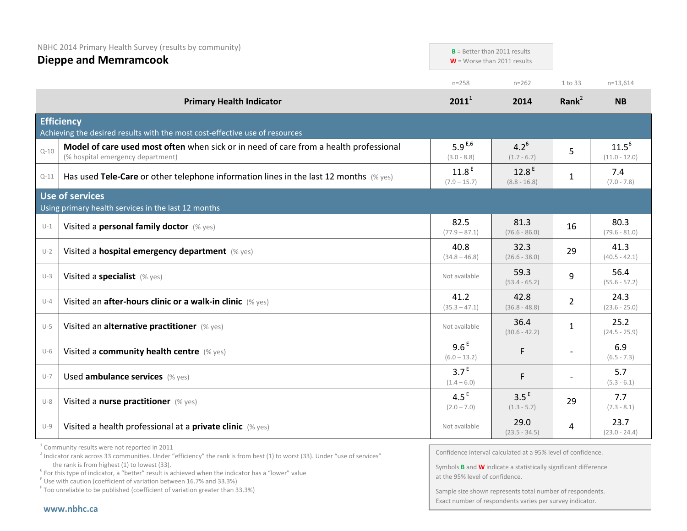|          | NBHC 2014 Primary Health Survey (results by community)<br><b>Dieppe and Memramcook</b>                                     |                                     | $B =$ Better than 2011 results<br>$W =$ Worse than 2011 results |                |                               |
|----------|----------------------------------------------------------------------------------------------------------------------------|-------------------------------------|-----------------------------------------------------------------|----------------|-------------------------------|
|          |                                                                                                                            | $n = 258$                           | $n = 262$                                                       | 1 to 33        | $n=13,614$                    |
|          | <b>Primary Health Indicator</b>                                                                                            | $2011^1$                            | 2014                                                            | Rank $^2$      | <b>NB</b>                     |
|          | <b>Efficiency</b><br>Achieving the desired results with the most cost-effective use of resources                           |                                     |                                                                 |                |                               |
| $Q - 10$ | Model of care used most often when sick or in need of care from a health professional<br>(% hospital emergency department) | 5.9 $E,6$<br>$(3.0 - 8.8)$          | $4.2^{6}$<br>$(1.7 - 6.7)$                                      | 5              | $11.5^{6}$<br>$(11.0 - 12.0)$ |
| $Q-11$   | Has used Tele-Care or other telephone information lines in the last 12 months $(\%$ yes)                                   | 11.8 <sup>E</sup><br>$(7.9 - 15.7)$ | 12.8 <sup>E</sup><br>$(8.8 - 16.8)$                             | $\mathbf{1}$   | 7.4<br>$(7.0 - 7.8)$          |
|          | Use of services<br>Using primary health services in the last 12 months                                                     |                                     |                                                                 |                |                               |
| $U-1$    | Visited a personal family doctor (% yes)                                                                                   | 82.5<br>$(77.9 - 87.1)$             | 81.3<br>$(76.6 - 86.0)$                                         | 16             | 80.3<br>$(79.6 - 81.0)$       |
| $U-2$    | Visited a hospital emergency department (% yes)                                                                            | 40.8<br>$(34.8 - 46.8)$             | 32.3<br>$(26.6 - 38.0)$                                         | 29             | 41.3<br>$(40.5 - 42.1)$       |
| $U-3$    | Visited a specialist (% yes)                                                                                               | Not available                       | 59.3<br>$(53.4 - 65.2)$                                         | 9              | 56.4<br>$(55.6 - 57.2)$       |
| $U - 4$  | Visited an after-hours clinic or a walk-in clinic (% yes)                                                                  | 41.2<br>$(35.3 - 47.1)$             | 42.8<br>$(36.8 - 48.8)$                                         | $\overline{2}$ | 24.3<br>$(23.6 - 25.0)$       |
| $U-5$    | Visited an alternative practitioner (% yes)                                                                                | Not available                       | 36.4<br>$(30.6 - 42.2)$                                         | $\mathbf{1}$   | 25.2<br>$(24.5 - 25.9)$       |
| $U-6$    | Visited a community health centre (% yes)                                                                                  | 9.6 <sup>E</sup><br>$(6.0 - 13.2)$  | F                                                               |                | 6.9<br>$(6.5 - 7.3)$          |
| $U-7$    | Used ambulance services (% yes)                                                                                            | 3.7 <sup>E</sup><br>$(1.4 - 6.0)$   | F                                                               |                | 5.7<br>$(5.3 - 6.1)$          |
| $U-8$    | Visited a nurse practitioner (% yes)                                                                                       | 4.5 <sup>E</sup><br>$(2.0 - 7.0)$   | 3.5 <sup>E</sup><br>$(1.3 - 5.7)$                               | 29             | 7.7<br>$(7.3 - 8.1)$          |
| $U-9$    | Visited a health professional at a private clinic (% yes)                                                                  | Not available                       | 29.0<br>$(23.5 - 34.5)$                                         | 4              | 23.7<br>$(23.0 - 24.4)$       |

<sup>1</sup> Community results were not reported in 2011

<sup>2</sup> Indicator rank across 33 communities. Under "efficiency" the rank is from best (1) to worst (33). Under "use of services" the rank is from highest (1) to lowest (33).

<sup>6</sup> For this type of indicator, a "better" result is achieved when the indicator has a "lower" value  $E$  Use with caution (coefficient of variation between 16.7% and 33.3%)

<sup>F</sup> Too unreliable to be published (coefficient of variation greater than 33.3%)

Confidence interval calculated at a 95% level of confidence.

Symbols **B** and **W** indicate a statistically significant difference at the 95% level of confidence.

Sample size shown represents total number of respondents. Exact number of respondents varies per survey indicator.